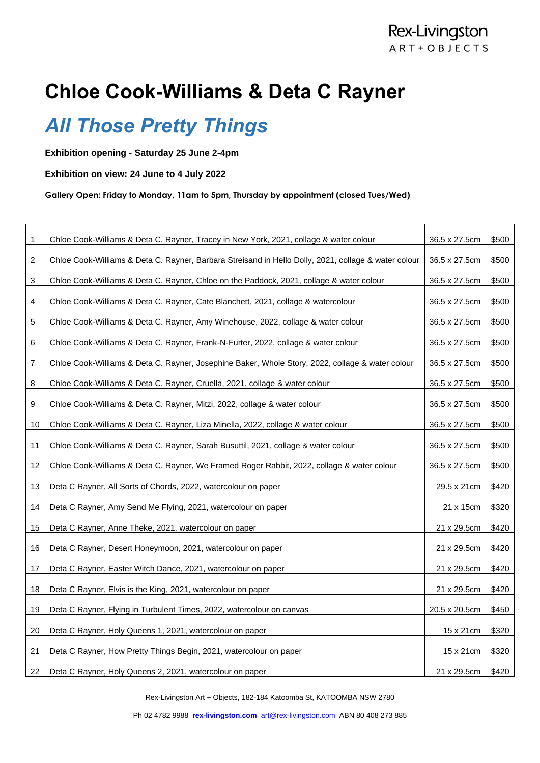## **Chloe Cook-Williams & Deta C Rayner**

## *All Those Pretty Things*

**Exhibition opening - Saturday 25 June 2-4pm**

**Exhibition on view: 24 June to 4 July 2022**

**Gallery Open: Friday to Monday, 11am to 5pm, Thursday by appointment (closed Tues/Wed)** 

| 1  | Chloe Cook-Williams & Deta C. Rayner, Tracey in New York, 2021, collage & water colour               | 36.5 x 27.5cm | \$500 |
|----|------------------------------------------------------------------------------------------------------|---------------|-------|
| 2  | Chloe Cook-Williams & Deta C. Rayner, Barbara Streisand in Hello Dolly, 2021, collage & water colour | 36.5 x 27.5cm | \$500 |
| 3  | Chloe Cook-Williams & Deta C. Rayner, Chloe on the Paddock, 2021, collage & water colour             | 36.5 x 27.5cm | \$500 |
| 4  | Chloe Cook-Williams & Deta C. Rayner, Cate Blanchett, 2021, collage & watercolour                    | 36.5 x 27.5cm | \$500 |
| 5  | Chloe Cook-Williams & Deta C. Rayner, Amy Winehouse, 2022, collage & water colour                    | 36.5 x 27.5cm | \$500 |
| 6  | Chloe Cook-Williams & Deta C. Rayner, Frank-N-Furter, 2022, collage & water colour                   | 36.5 x 27.5cm | \$500 |
| 7  | Chloe Cook-Williams & Deta C. Rayner, Josephine Baker, Whole Story, 2022, collage & water colour     | 36.5 x 27.5cm | \$500 |
| 8  | Chloe Cook-Williams & Deta C. Rayner, Cruella, 2021, collage & water colour                          | 36.5 x 27.5cm | \$500 |
| 9  | Chloe Cook-Williams & Deta C. Rayner, Mitzi, 2022, collage & water colour                            | 36.5 x 27.5cm | \$500 |
| 10 | Chloe Cook-Williams & Deta C. Rayner, Liza Minella, 2022, collage & water colour                     | 36.5 x 27.5cm | \$500 |
| 11 | Chloe Cook-Williams & Deta C. Rayner, Sarah Busuttil, 2021, collage & water colour                   | 36.5 x 27.5cm | \$500 |
| 12 | Chloe Cook-Williams & Deta C. Rayner, We Framed Roger Rabbit, 2022, collage & water colour           | 36.5 x 27.5cm | \$500 |
| 13 | Deta C Rayner, All Sorts of Chords, 2022, watercolour on paper                                       | 29.5 x 21cm   | \$420 |
| 14 | Deta C Rayner, Amy Send Me Flying, 2021, watercolour on paper                                        | 21 x 15cm     | \$320 |
| 15 | Deta C Rayner, Anne Theke, 2021, watercolour on paper                                                | 21 x 29.5cm   | \$420 |
| 16 | Deta C Rayner, Desert Honeymoon, 2021, watercolour on paper                                          | 21 x 29.5cm   | \$420 |
| 17 | Deta C Rayner, Easter Witch Dance, 2021, watercolour on paper                                        | 21 x 29.5cm   | \$420 |
| 18 | Deta C Rayner, Elvis is the King, 2021, watercolour on paper                                         | 21 x 29.5cm   | \$420 |
| 19 | Deta C Rayner, Flying in Turbulent Times, 2022, watercolour on canvas                                | 20.5 x 20.5cm | \$450 |
| 20 | Deta C Rayner, Holy Queens 1, 2021, watercolour on paper                                             | 15 x 21 cm    | \$320 |
| 21 | Deta C Rayner, How Pretty Things Begin, 2021, watercolour on paper                                   | 15 x 21cm     | \$320 |
| 22 | Deta C Rayner, Holy Queens 2, 2021, watercolour on paper                                             | 21 x 29.5cm   | \$420 |

Rex-Livingston Art + Objects, 182-184 Katoomba St, KATOOMBA NSW 2780